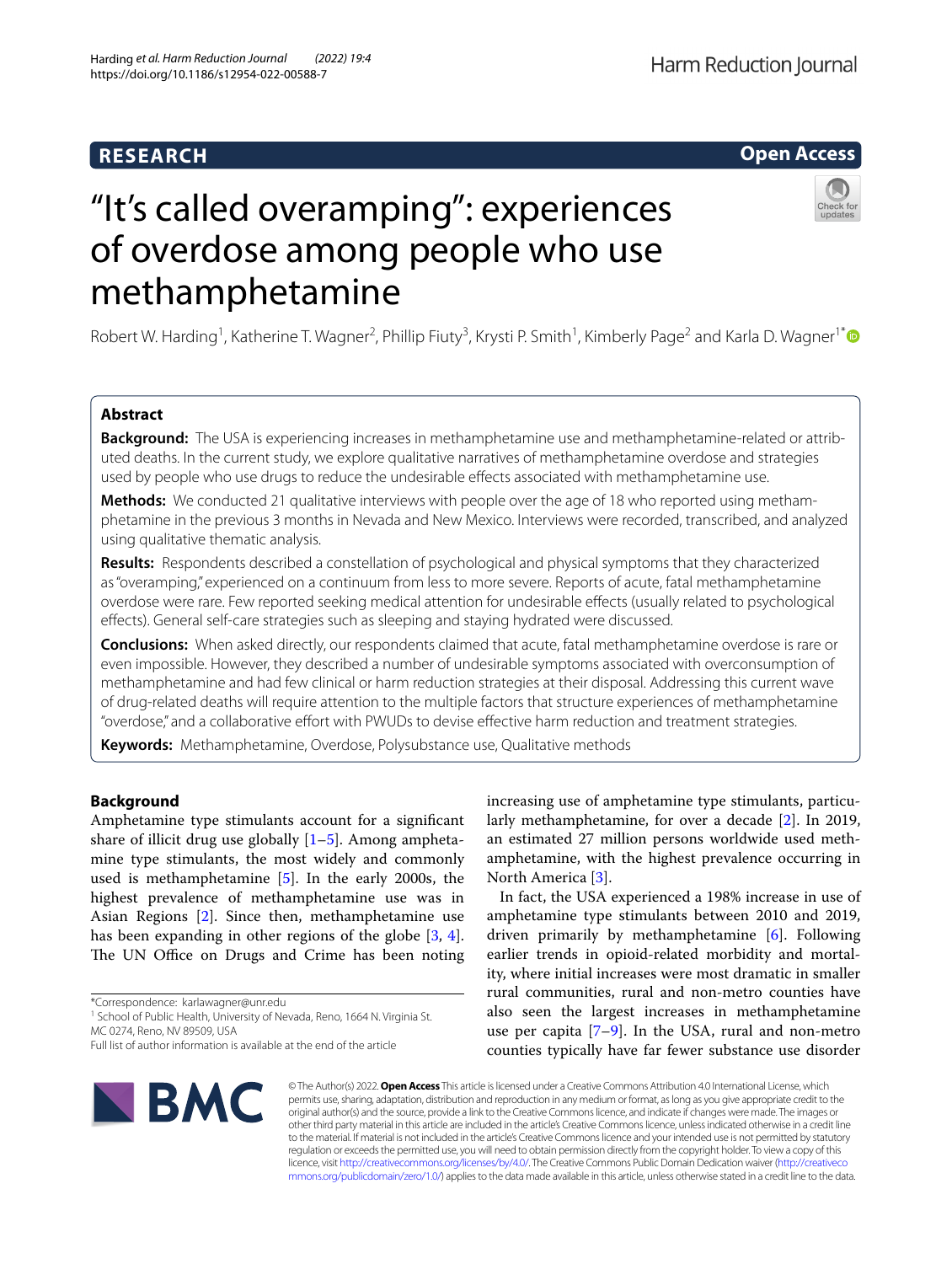# **RESEARCH**

## **Open Access**

# "It's called overamping": experiences of overdose among people who use methamphetamine

Robert W. Harding<sup>1</sup>, Katherine T. Wagner<sup>2</sup>, Phillip Fiuty<sup>3</sup>, Krysti P. Smith<sup>1</sup>, Kimberly Page<sup>2</sup> and Karla D. Wagner<sup>1[\\*](http://orcid.org/0000-0002-8614-2004)</sup>

## **Abstract**

**Background:** The USA is experiencing increases in methamphetamine use and methamphetamine-related or attributed deaths. In the current study, we explore qualitative narratives of methamphetamine overdose and strategies used by people who use drugs to reduce the undesirable efects associated with methamphetamine use.

**Methods:** We conducted 21 qualitative interviews with people over the age of 18 who reported using methamphetamine in the previous 3 months in Nevada and New Mexico. Interviews were recorded, transcribed, and analyzed using qualitative thematic analysis.

**Results:** Respondents described a constellation of psychological and physical symptoms that they characterized as "overamping," experienced on a continuum from less to more severe. Reports of acute, fatal methamphetamine overdose were rare. Few reported seeking medical attention for undesirable efects (usually related to psychological efects). General self-care strategies such as sleeping and staying hydrated were discussed.

**Conclusions:** When asked directly, our respondents claimed that acute, fatal methamphetamine overdose is rare or even impossible. However, they described a number of undesirable symptoms associated with overconsumption of methamphetamine and had few clinical or harm reduction strategies at their disposal. Addressing this current wave of drug-related deaths will require attention to the multiple factors that structure experiences of methamphetamine "overdose," and a collaborative efort with PWUDs to devise efective harm reduction and treatment strategies.

**Keywords:** Methamphetamine, Overdose, Polysubstance use, Qualitative methods

## **Background**

Amphetamine type stimulants account for a signifcant share of illicit drug use globally  $[1-5]$  $[1-5]$  $[1-5]$ . Among amphetamine type stimulants, the most widely and commonly used is methamphetamine [[5\]](#page-8-1). In the early 2000s, the highest prevalence of methamphetamine use was in Asian Regions [[2\]](#page-8-2). Since then, methamphetamine use has been expanding in other regions of the globe [[3,](#page-8-3) [4](#page-8-4)]. The UN Office on Drugs and Crime has been noting

\*Correspondence: karlawagner@unr.edu

<sup>1</sup> School of Public Health, University of Nevada, Reno, 1664 N. Virginia St. MC 0274, Reno, NV 89509, USA

increasing use of amphetamine type stimulants, particularly methamphetamine, for over a decade [\[2](#page-8-2)]. In 2019, an estimated 27 million persons worldwide used methamphetamine, with the highest prevalence occurring in North America [[3\]](#page-8-3).

In fact, the USA experienced a 198% increase in use of amphetamine type stimulants between 2010 and 2019, driven primarily by methamphetamine [\[6](#page-8-5)]. Following earlier trends in opioid-related morbidity and mortality, where initial increases were most dramatic in smaller rural communities, rural and non-metro counties have also seen the largest increases in methamphetamine use per capita  $[7-9]$  $[7-9]$ . In the USA, rural and non-metro counties typically have far fewer substance use disorder



© The Author(s) 2022. **Open Access** This article is licensed under a Creative Commons Attribution 4.0 International License, which permits use, sharing, adaptation, distribution and reproduction in any medium or format, as long as you give appropriate credit to the original author(s) and the source, provide a link to the Creative Commons licence, and indicate if changes were made. The images or other third party material in this article are included in the article's Creative Commons licence, unless indicated otherwise in a credit line to the material. If material is not included in the article's Creative Commons licence and your intended use is not permitted by statutory regulation or exceeds the permitted use, you will need to obtain permission directly from the copyright holder. To view a copy of this licence, visit [http://creativecommons.org/licenses/by/4.0/.](http://creativecommons.org/licenses/by/4.0/) The Creative Commons Public Domain Dedication waiver ([http://creativeco](http://creativecommons.org/publicdomain/zero/1.0/) [mmons.org/publicdomain/zero/1.0/](http://creativecommons.org/publicdomain/zero/1.0/)) applies to the data made available in this article, unless otherwise stated in a credit line to the data.

Full list of author information is available at the end of the article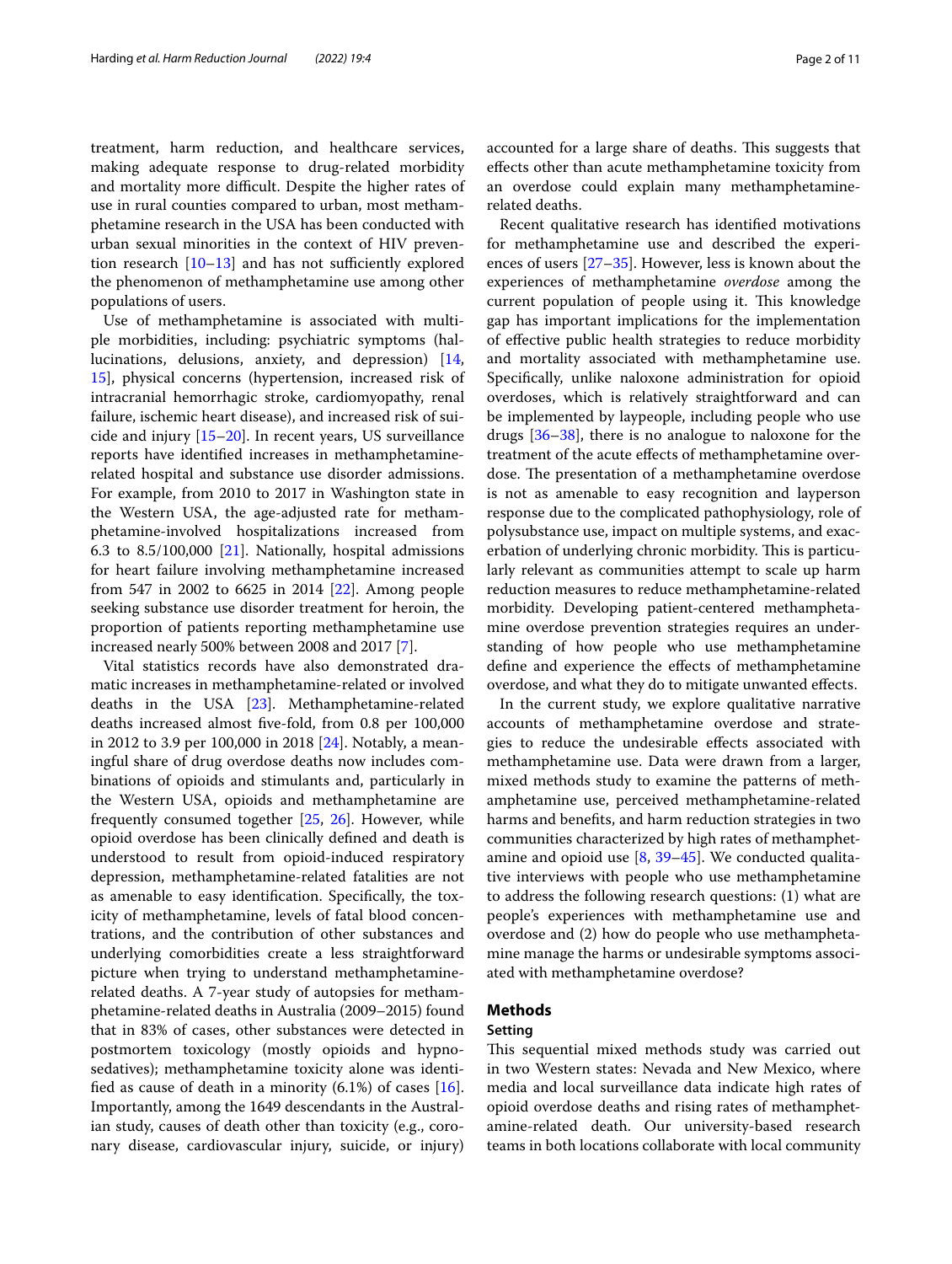treatment, harm reduction, and healthcare services, making adequate response to drug-related morbidity and mortality more difficult. Despite the higher rates of use in rural counties compared to urban, most methamphetamine research in the USA has been conducted with urban sexual minorities in the context of HIV prevention research  $[10-13]$  $[10-13]$  and has not sufficiently explored the phenomenon of methamphetamine use among other populations of users.

Use of methamphetamine is associated with multiple morbidities, including: psychiatric symptoms (hallucinations, delusions, anxiety, and depression) [\[14](#page-9-1), [15\]](#page-9-2), physical concerns (hypertension, increased risk of intracranial hemorrhagic stroke, cardiomyopathy, renal failure, ischemic heart disease), and increased risk of suicide and injury [\[15](#page-9-2)[–20](#page-9-3)]. In recent years, US surveillance reports have identifed increases in methamphetaminerelated hospital and substance use disorder admissions. For example, from 2010 to 2017 in Washington state in the Western USA, the age-adjusted rate for methamphetamine-involved hospitalizations increased from 6.3 to 8.5/100,000 [\[21](#page-9-4)]. Nationally, hospital admissions for heart failure involving methamphetamine increased from 547 in 2002 to 6625 in 2014 [[22](#page-9-5)]. Among people seeking substance use disorder treatment for heroin, the proportion of patients reporting methamphetamine use increased nearly 500% between 2008 and 2017 [[7\]](#page-8-6).

Vital statistics records have also demonstrated dramatic increases in methamphetamine-related or involved deaths in the USA [\[23](#page-9-6)]. Methamphetamine-related deaths increased almost fve-fold, from 0.8 per 100,000 in 2012 to 3.9 per 100,000 in 2018 [\[24](#page-9-7)]. Notably, a meaningful share of drug overdose deaths now includes combinations of opioids and stimulants and, particularly in the Western USA, opioids and methamphetamine are frequently consumed together [[25](#page-9-8), [26\]](#page-9-9). However, while opioid overdose has been clinically defned and death is understood to result from opioid-induced respiratory depression, methamphetamine-related fatalities are not as amenable to easy identifcation. Specifcally, the toxicity of methamphetamine, levels of fatal blood concentrations, and the contribution of other substances and underlying comorbidities create a less straightforward picture when trying to understand methamphetaminerelated deaths. A 7-year study of autopsies for methamphetamine-related deaths in Australia (2009–2015) found that in 83% of cases, other substances were detected in postmortem toxicology (mostly opioids and hypnosedatives); methamphetamine toxicity alone was identified as cause of death in a minority  $(6.1%)$  of cases  $[16]$  $[16]$ . Importantly, among the 1649 descendants in the Australian study, causes of death other than toxicity (e.g., coronary disease, cardiovascular injury, suicide, or injury)

accounted for a large share of deaths. This suggests that efects other than acute methamphetamine toxicity from an overdose could explain many methamphetaminerelated deaths.

Recent qualitative research has identifed motivations for methamphetamine use and described the experiences of users [[27–](#page-9-11)[35](#page-9-12)]. However, less is known about the experiences of methamphetamine *overdose* among the current population of people using it. This knowledge gap has important implications for the implementation of efective public health strategies to reduce morbidity and mortality associated with methamphetamine use. Specifcally, unlike naloxone administration for opioid overdoses, which is relatively straightforward and can be implemented by laypeople, including people who use drugs [\[36](#page-9-13)[–38](#page-9-14)], there is no analogue to naloxone for the treatment of the acute efects of methamphetamine overdose. The presentation of a methamphetamine overdose is not as amenable to easy recognition and layperson response due to the complicated pathophysiology, role of polysubstance use, impact on multiple systems, and exacerbation of underlying chronic morbidity. This is particularly relevant as communities attempt to scale up harm reduction measures to reduce methamphetamine-related morbidity. Developing patient-centered methamphetamine overdose prevention strategies requires an understanding of how people who use methamphetamine defne and experience the efects of methamphetamine overdose, and what they do to mitigate unwanted efects.

In the current study, we explore qualitative narrative accounts of methamphetamine overdose and strategies to reduce the undesirable efects associated with methamphetamine use. Data were drawn from a larger, mixed methods study to examine the patterns of methamphetamine use, perceived methamphetamine-related harms and benefts, and harm reduction strategies in two communities characterized by high rates of methamphetamine and opioid use  $[8, 39-45]$  $[8, 39-45]$  $[8, 39-45]$  $[8, 39-45]$  $[8, 39-45]$ . We conducted qualitative interviews with people who use methamphetamine to address the following research questions: (1) what are people's experiences with methamphetamine use and overdose and (2) how do people who use methamphetamine manage the harms or undesirable symptoms associated with methamphetamine overdose?

## **Methods**

## **Setting**

This sequential mixed methods study was carried out in two Western states: Nevada and New Mexico, where media and local surveillance data indicate high rates of opioid overdose deaths and rising rates of methamphetamine-related death. Our university-based research teams in both locations collaborate with local community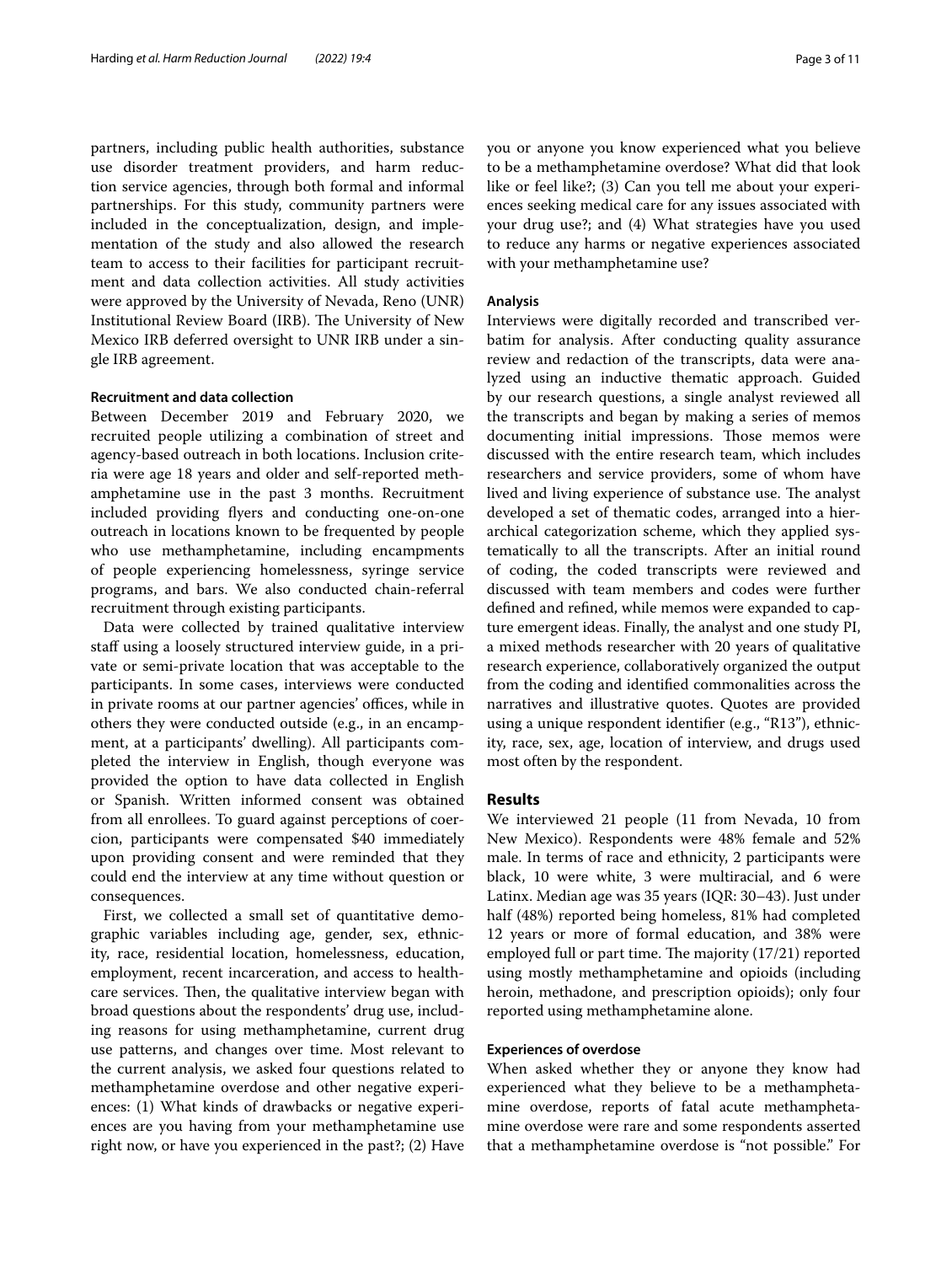partners, including public health authorities, substance use disorder treatment providers, and harm reduction service agencies, through both formal and informal partnerships. For this study, community partners were included in the conceptualization, design, and implementation of the study and also allowed the research team to access to their facilities for participant recruitment and data collection activities. All study activities were approved by the University of Nevada, Reno (UNR) Institutional Review Board (IRB). The University of New Mexico IRB deferred oversight to UNR IRB under a single IRB agreement.

## **Recruitment and data collection**

Between December 2019 and February 2020, we recruited people utilizing a combination of street and agency-based outreach in both locations. Inclusion criteria were age 18 years and older and self-reported methamphetamine use in the past 3 months. Recruitment included providing fyers and conducting one-on-one outreach in locations known to be frequented by people who use methamphetamine, including encampments of people experiencing homelessness, syringe service programs, and bars. We also conducted chain-referral recruitment through existing participants.

Data were collected by trained qualitative interview staff using a loosely structured interview guide, in a private or semi-private location that was acceptable to the participants. In some cases, interviews were conducted in private rooms at our partner agencies' offices, while in others they were conducted outside (e.g., in an encampment, at a participants' dwelling). All participants completed the interview in English, though everyone was provided the option to have data collected in English or Spanish. Written informed consent was obtained from all enrollees. To guard against perceptions of coercion, participants were compensated \$40 immediately upon providing consent and were reminded that they could end the interview at any time without question or consequences.

First, we collected a small set of quantitative demographic variables including age, gender, sex, ethnicity, race, residential location, homelessness, education, employment, recent incarceration, and access to healthcare services. Then, the qualitative interview began with broad questions about the respondents' drug use, including reasons for using methamphetamine, current drug use patterns, and changes over time. Most relevant to the current analysis, we asked four questions related to methamphetamine overdose and other negative experiences: (1) What kinds of drawbacks or negative experiences are you having from your methamphetamine use right now, or have you experienced in the past?; (2) Have you or anyone you know experienced what you believe to be a methamphetamine overdose? What did that look like or feel like?; (3) Can you tell me about your experiences seeking medical care for any issues associated with your drug use?; and (4) What strategies have you used to reduce any harms or negative experiences associated with your methamphetamine use?

## **Analysis**

Interviews were digitally recorded and transcribed verbatim for analysis. After conducting quality assurance review and redaction of the transcripts, data were analyzed using an inductive thematic approach. Guided by our research questions, a single analyst reviewed all the transcripts and began by making a series of memos documenting initial impressions. Those memos were discussed with the entire research team, which includes researchers and service providers, some of whom have lived and living experience of substance use. The analyst developed a set of thematic codes, arranged into a hierarchical categorization scheme, which they applied systematically to all the transcripts. After an initial round of coding, the coded transcripts were reviewed and discussed with team members and codes were further defned and refned, while memos were expanded to capture emergent ideas. Finally, the analyst and one study PI, a mixed methods researcher with 20 years of qualitative research experience, collaboratively organized the output from the coding and identifed commonalities across the narratives and illustrative quotes. Quotes are provided using a unique respondent identifer (e.g., "R13"), ethnicity, race, sex, age, location of interview, and drugs used most often by the respondent.

## **Results**

We interviewed 21 people (11 from Nevada, 10 from New Mexico). Respondents were 48% female and 52% male. In terms of race and ethnicity, 2 participants were black, 10 were white, 3 were multiracial, and 6 were Latinx. Median age was 35 years (IQR: 30–43). Just under half (48%) reported being homeless, 81% had completed 12 years or more of formal education, and 38% were employed full or part time. The majority  $(17/21)$  reported using mostly methamphetamine and opioids (including heroin, methadone, and prescription opioids); only four reported using methamphetamine alone.

## **Experiences of overdose**

When asked whether they or anyone they know had experienced what they believe to be a methamphetamine overdose, reports of fatal acute methamphetamine overdose were rare and some respondents asserted that a methamphetamine overdose is "not possible." For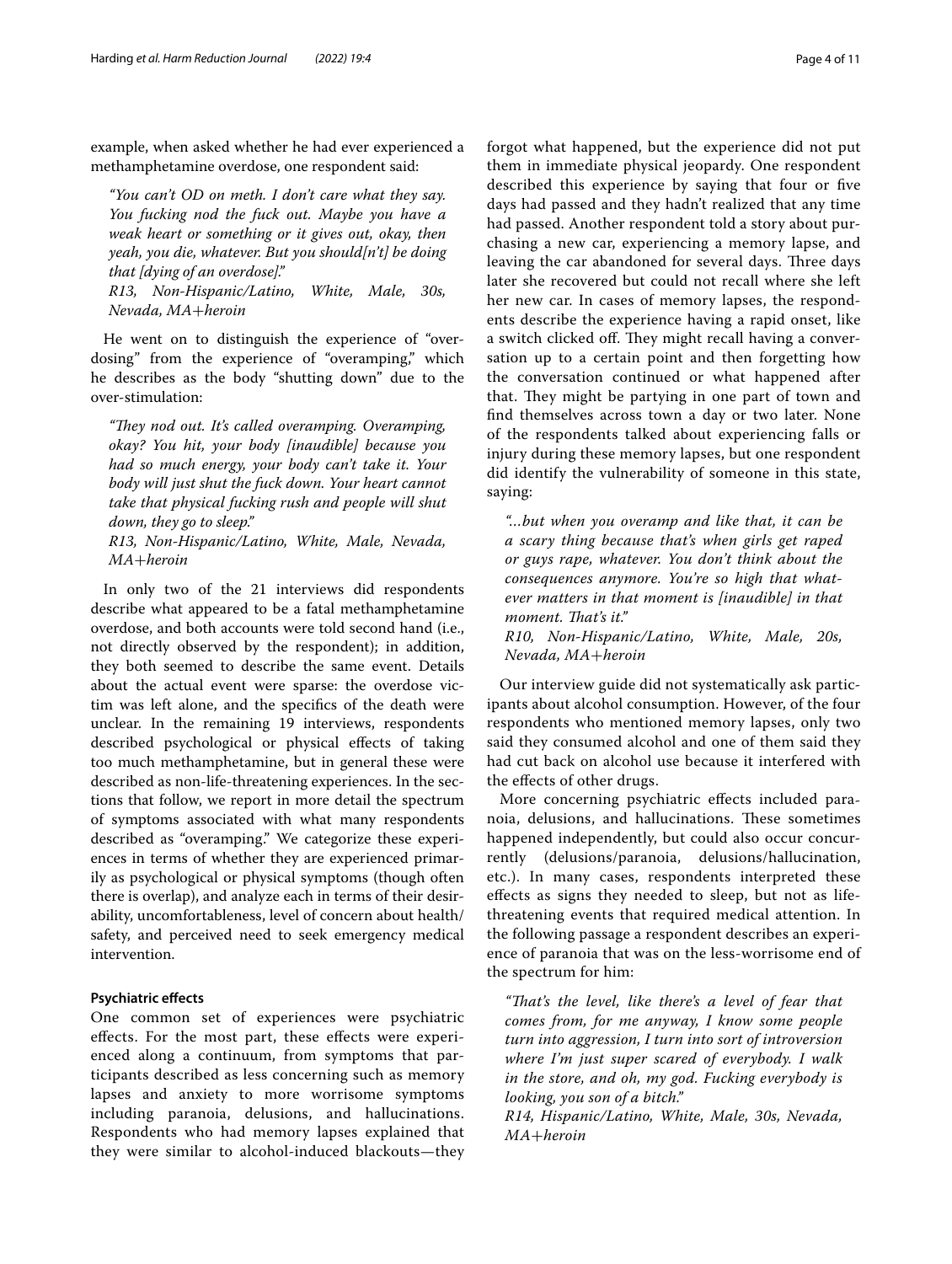example, when asked whether he had ever experienced a methamphetamine overdose, one respondent said:

*"You can't OD on meth. I don't care what they say. You fucking nod the fuck out. Maybe you have a weak heart or something or it gives out, okay, then yeah, you die, whatever. But you should[n't] be doing that [dying of an overdose]."*

*R13, Non-Hispanic/Latino, White, Male, 30s, Nevada, MA*+*heroin*

He went on to distinguish the experience of "overdosing" from the experience of "overamping," which he describes as the body "shutting down" due to the over-stimulation:

"They nod out. It's called overamping. Overamping, *okay? You hit, your body [inaudible] because you had so much energy, your body can't take it. Your body will just shut the fuck down. Your heart cannot take that physical fucking rush and people will shut down, they go to sleep."*

*R13, Non-Hispanic/Latino, White, Male, Nevada, MA*+*heroin*

In only two of the 21 interviews did respondents describe what appeared to be a fatal methamphetamine overdose, and both accounts were told second hand (i.e., not directly observed by the respondent); in addition, they both seemed to describe the same event. Details about the actual event were sparse: the overdose victim was left alone, and the specifcs of the death were unclear. In the remaining 19 interviews, respondents described psychological or physical efects of taking too much methamphetamine, but in general these were described as non-life-threatening experiences. In the sections that follow, we report in more detail the spectrum of symptoms associated with what many respondents described as "overamping." We categorize these experiences in terms of whether they are experienced primarily as psychological or physical symptoms (though often there is overlap), and analyze each in terms of their desirability, uncomfortableness, level of concern about health/ safety, and perceived need to seek emergency medical intervention.

## **Psychiatric efects**

One common set of experiences were psychiatric efects. For the most part, these efects were experienced along a continuum, from symptoms that participants described as less concerning such as memory lapses and anxiety to more worrisome symptoms including paranoia, delusions, and hallucinations. Respondents who had memory lapses explained that they were similar to alcohol-induced blackouts—they forgot what happened, but the experience did not put them in immediate physical jeopardy. One respondent described this experience by saying that four or fve days had passed and they hadn't realized that any time had passed. Another respondent told a story about purchasing a new car, experiencing a memory lapse, and leaving the car abandoned for several days. Three days later she recovered but could not recall where she left her new car. In cases of memory lapses, the respondents describe the experience having a rapid onset, like a switch clicked off. They might recall having a conversation up to a certain point and then forgetting how the conversation continued or what happened after that. They might be partying in one part of town and fnd themselves across town a day or two later. None of the respondents talked about experiencing falls or injury during these memory lapses, but one respondent did identify the vulnerability of someone in this state, saying:

*"…but when you overamp and like that, it can be a scary thing because that's when girls get raped or guys rape, whatever. You don't think about the consequences anymore. You're so high that whatever matters in that moment is [inaudible] in that moment. Tat's it."*

*R10, Non-Hispanic/Latino, White, Male, 20s, Nevada, MA*+*heroin*

Our interview guide did not systematically ask participants about alcohol consumption. However, of the four respondents who mentioned memory lapses, only two said they consumed alcohol and one of them said they had cut back on alcohol use because it interfered with the efects of other drugs.

More concerning psychiatric efects included paranoia, delusions, and hallucinations. These sometimes happened independently, but could also occur concurrently (delusions/paranoia, delusions/hallucination, etc.). In many cases, respondents interpreted these efects as signs they needed to sleep, but not as lifethreatening events that required medical attention. In the following passage a respondent describes an experience of paranoia that was on the less-worrisome end of the spectrum for him:

*"Tat's the level, like there's a level of fear that comes from, for me anyway, I know some people turn into aggression, I turn into sort of introversion where I'm just super scared of everybody. I walk in the store, and oh, my god. Fucking everybody is looking, you son of a bitch."*

*R14, Hispanic/Latino, White, Male, 30s, Nevada, MA*+*heroin*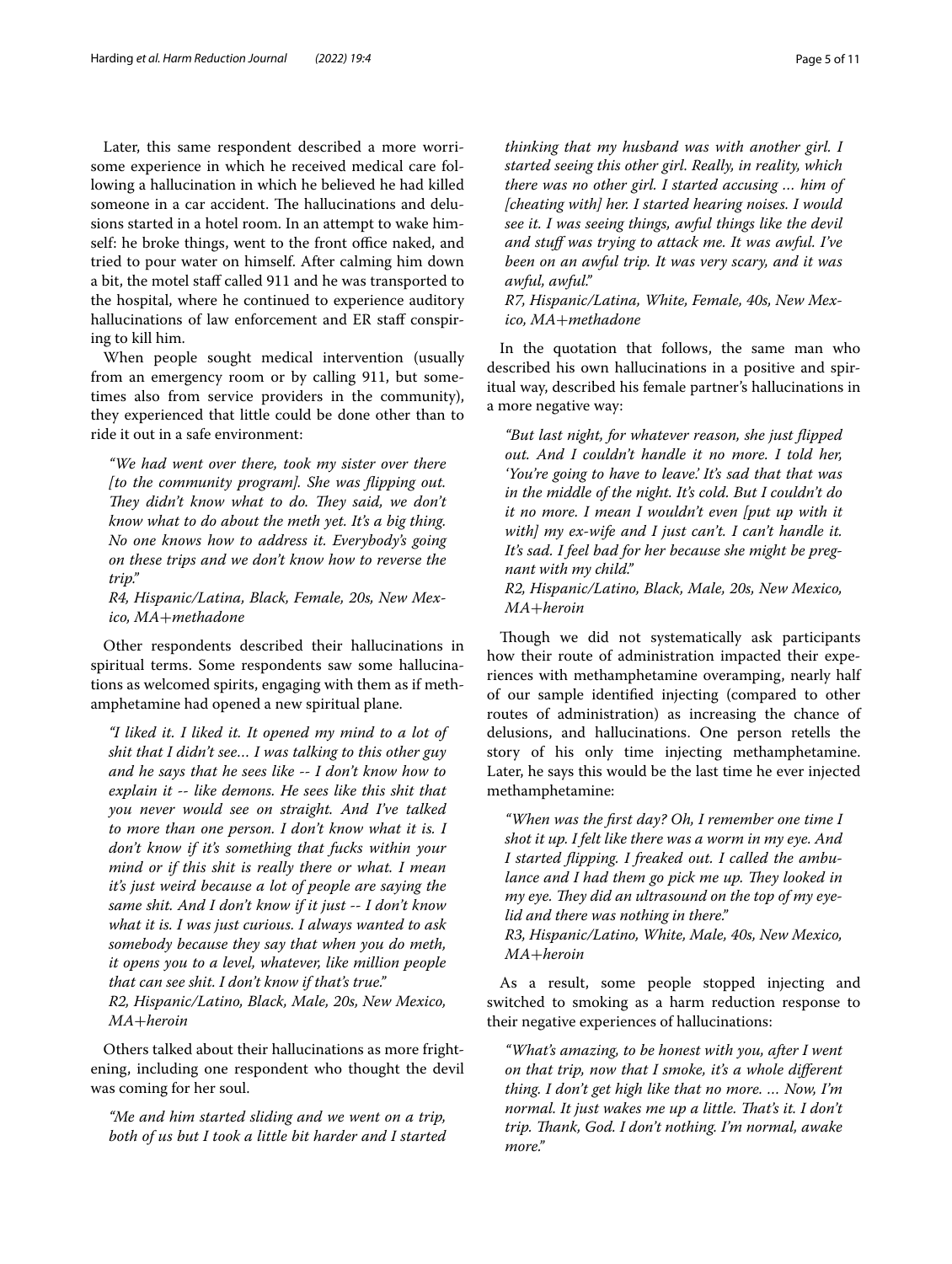Later, this same respondent described a more worrisome experience in which he received medical care following a hallucination in which he believed he had killed someone in a car accident. The hallucinations and delusions started in a hotel room. In an attempt to wake himself: he broke things, went to the front office naked, and tried to pour water on himself. After calming him down a bit, the motel staff called 911 and he was transported to the hospital, where he continued to experience auditory hallucinations of law enforcement and ER staff conspiring to kill him.

When people sought medical intervention (usually from an emergency room or by calling 911, but sometimes also from service providers in the community), they experienced that little could be done other than to ride it out in a safe environment:

*"We had went over there, took my sister over there [to the community program]. She was fipping out. They didn't know what to do. They said, we don't know what to do about the meth yet. It's a big thing. No one knows how to address it. Everybody's going on these trips and we don't know how to reverse the trip."*

*R4, Hispanic/Latina, Black, Female, 20s, New Mexico, MA*+*methadone*

Other respondents described their hallucinations in spiritual terms. Some respondents saw some hallucinations as welcomed spirits, engaging with them as if methamphetamine had opened a new spiritual plane.

*"I liked it. I liked it. It opened my mind to a lot of shit that I didn't see… I was talking to this other guy and he says that he sees like -- I don't know how to explain it -- like demons. He sees like this shit that you never would see on straight. And I've talked to more than one person. I don't know what it is. I don't know if it's something that fucks within your mind or if this shit is really there or what. I mean it's just weird because a lot of people are saying the same shit. And I don't know if it just -- I don't know what it is. I was just curious. I always wanted to ask somebody because they say that when you do meth, it opens you to a level, whatever, like million people that can see shit. I don't know if that's true." R2, Hispanic/Latino, Black, Male, 20s, New Mexico, MA*+*heroin*

Others talked about their hallucinations as more frightening, including one respondent who thought the devil was coming for her soul.

*"Me and him started sliding and we went on a trip, both of us but I took a little bit harder and I started*  *thinking that my husband was with another girl. I started seeing this other girl. Really, in reality, which there was no other girl. I started accusing … him of [cheating with] her. I started hearing noises. I would see it. I was seeing things, awful things like the devil and stuf was trying to attack me. It was awful. I've been on an awful trip. It was very scary, and it was awful, awful."*

*R7, Hispanic/Latina, White, Female, 40s, New Mexico, MA*+*methadone*

In the quotation that follows, the same man who described his own hallucinations in a positive and spiritual way, described his female partner's hallucinations in a more negative way:

*"But last night, for whatever reason, she just fipped out. And I couldn't handle it no more. I told her, 'You're going to have to leave.' It's sad that that was in the middle of the night. It's cold. But I couldn't do it no more. I mean I wouldn't even [put up with it with] my ex-wife and I just can't. I can't handle it. It's sad. I feel bad for her because she might be pregnant with my child."*

*R2, Hispanic/Latino, Black, Male, 20s, New Mexico, MA*+*heroin*

Though we did not systematically ask participants how their route of administration impacted their experiences with methamphetamine overamping, nearly half of our sample identifed injecting (compared to other routes of administration) as increasing the chance of delusions, and hallucinations. One person retells the story of his only time injecting methamphetamine. Later, he says this would be the last time he ever injected methamphetamine:

*"When was the frst day? Oh, I remember one time I shot it up. I felt like there was a worm in my eye. And I started fipping. I freaked out. I called the ambulance and I had them go pick me up. They looked in my eye. They did an ultrasound on the top of my eyelid and there was nothing in there." R3, Hispanic/Latino, White, Male, 40s, New Mexico, MA*+*heroin*

As a result, some people stopped injecting and switched to smoking as a harm reduction response to their negative experiences of hallucinations:

*"What's amazing, to be honest with you, after I went on that trip, now that I smoke, it's a whole diferent thing. I don't get high like that no more. … Now, I'm normal. It just wakes me up a little. That's it. I don't trip. Tank, God. I don't nothing. I'm normal, awake more."*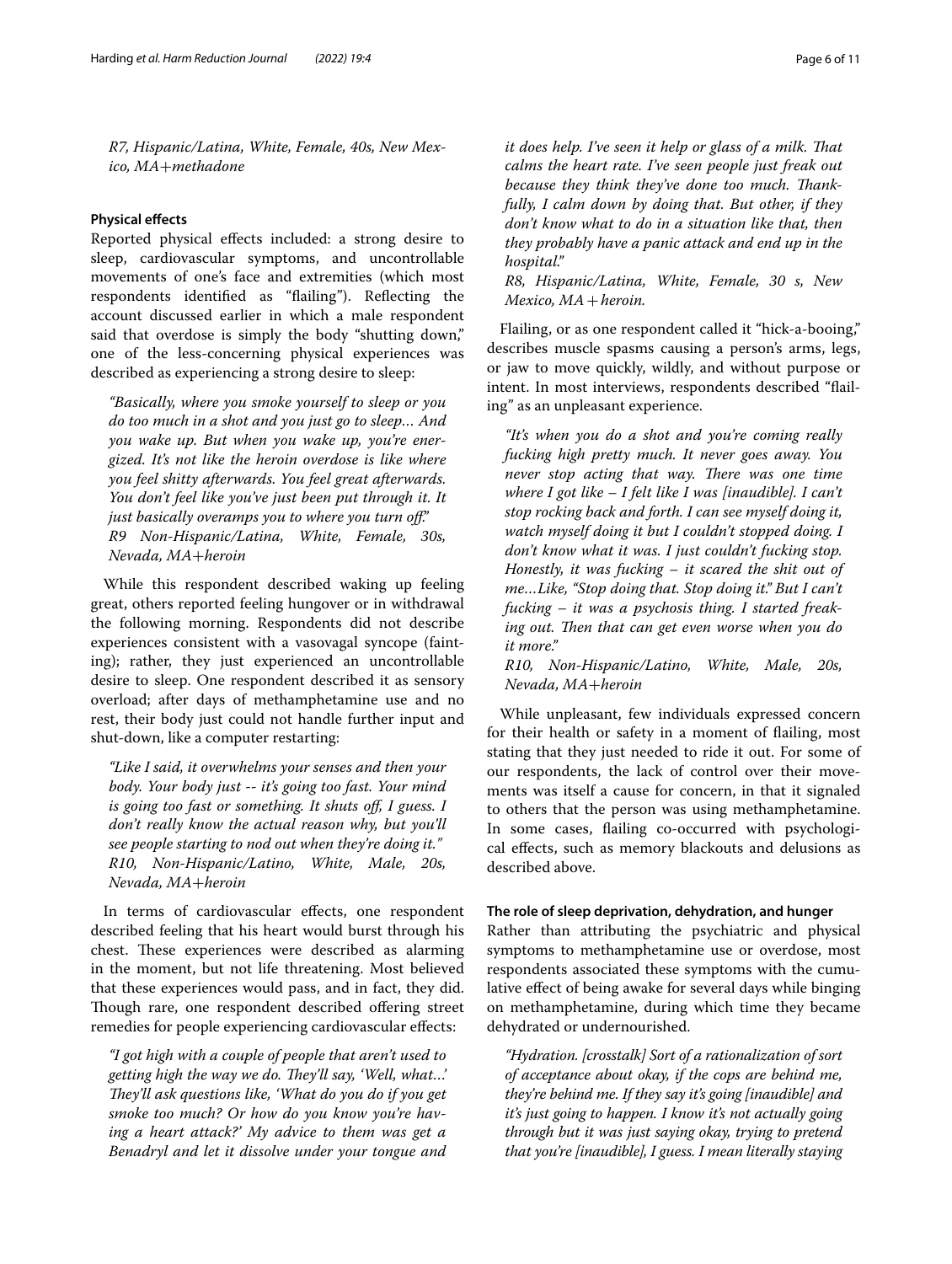*R7, Hispanic/Latina, White, Female, 40s, New Mexico, MA*+*methadone*

## **Physical efects**

Reported physical efects included: a strong desire to sleep, cardiovascular symptoms, and uncontrollable movements of one's face and extremities (which most respondents identifed as "failing"). Refecting the account discussed earlier in which a male respondent said that overdose is simply the body "shutting down," one of the less-concerning physical experiences was described as experiencing a strong desire to sleep:

*"Basically, where you smoke yourself to sleep or you do too much in a shot and you just go to sleep… And you wake up. But when you wake up, you're energized. It's not like the heroin overdose is like where you feel shitty afterwards. You feel great afterwards. You don't feel like you've just been put through it. It just basically overamps you to where you turn of." R9 Non-Hispanic/Latina, White, Female, 30s, Nevada, MA*+*heroin*

While this respondent described waking up feeling great, others reported feeling hungover or in withdrawal the following morning. Respondents did not describe experiences consistent with a vasovagal syncope (fainting); rather, they just experienced an uncontrollable desire to sleep. One respondent described it as sensory overload; after days of methamphetamine use and no rest, their body just could not handle further input and shut-down, like a computer restarting:

*"Like I said, it overwhelms your senses and then your body. Your body just -- it's going too fast. Your mind is going too fast or something. It shuts of, I guess. I don't really know the actual reason why, but you'll see people starting to nod out when they're doing it." R10, Non-Hispanic/Latino, White, Male, 20s, Nevada, MA*+*heroin*

In terms of cardiovascular efects, one respondent described feeling that his heart would burst through his chest. These experiences were described as alarming in the moment, but not life threatening. Most believed that these experiences would pass, and in fact, they did. Though rare, one respondent described offering street remedies for people experiencing cardiovascular efects:

*"I got high with a couple of people that aren't used to getting high the way we do. They'll say, 'Well, what...' They'll ask questions like, 'What do you do if you get smoke too much? Or how do you know you're having a heart attack?' My advice to them was get a Benadryl and let it dissolve under your tongue and* 

*it does help. I've seen it help or glass of a milk. That calms the heart rate. I've seen people just freak out because they think they've done too much. Tankfully, I calm down by doing that. But other, if they don't know what to do in a situation like that, then they probably have a panic attack and end up in the hospital."*

*R8, Hispanic/Latina, White, Female, 30 s, New Mexico, MA*+*heroin.*

Flailing, or as one respondent called it "hick-a-booing," describes muscle spasms causing a person's arms, legs, or jaw to move quickly, wildly, and without purpose or intent. In most interviews, respondents described "failing" as an unpleasant experience.

*"It's when you do a shot and you're coming really fucking high pretty much. It never goes away. You never stop acting that way. There was one time where I got like – I felt like I was [inaudible]. I can't stop rocking back and forth. I can see myself doing it, watch myself doing it but I couldn't stopped doing. I don't know what it was. I just couldn't fucking stop. Honestly, it was fucking – it scared the shit out of me…Like, "Stop doing that. Stop doing it." But I can't fucking – it was a psychosis thing. I started freak*ing out. Then that can get even worse when you do *it more."*

*R10, Non-Hispanic/Latino, White, Male, 20s, Nevada, MA*+*heroin*

While unpleasant, few individuals expressed concern for their health or safety in a moment of failing, most stating that they just needed to ride it out. For some of our respondents, the lack of control over their movements was itself a cause for concern, in that it signaled to others that the person was using methamphetamine. In some cases, failing co-occurred with psychological efects, such as memory blackouts and delusions as described above.

## **The role of sleep deprivation, dehydration, and hunger**

Rather than attributing the psychiatric and physical symptoms to methamphetamine use or overdose, most respondents associated these symptoms with the cumulative efect of being awake for several days while binging on methamphetamine, during which time they became dehydrated or undernourished.

*"Hydration. [crosstalk] Sort of a rationalization of sort of acceptance about okay, if the cops are behind me, they're behind me. If they say it's going [inaudible] and it's just going to happen. I know it's not actually going through but it was just saying okay, trying to pretend that you're [inaudible], I guess. I mean literally staying*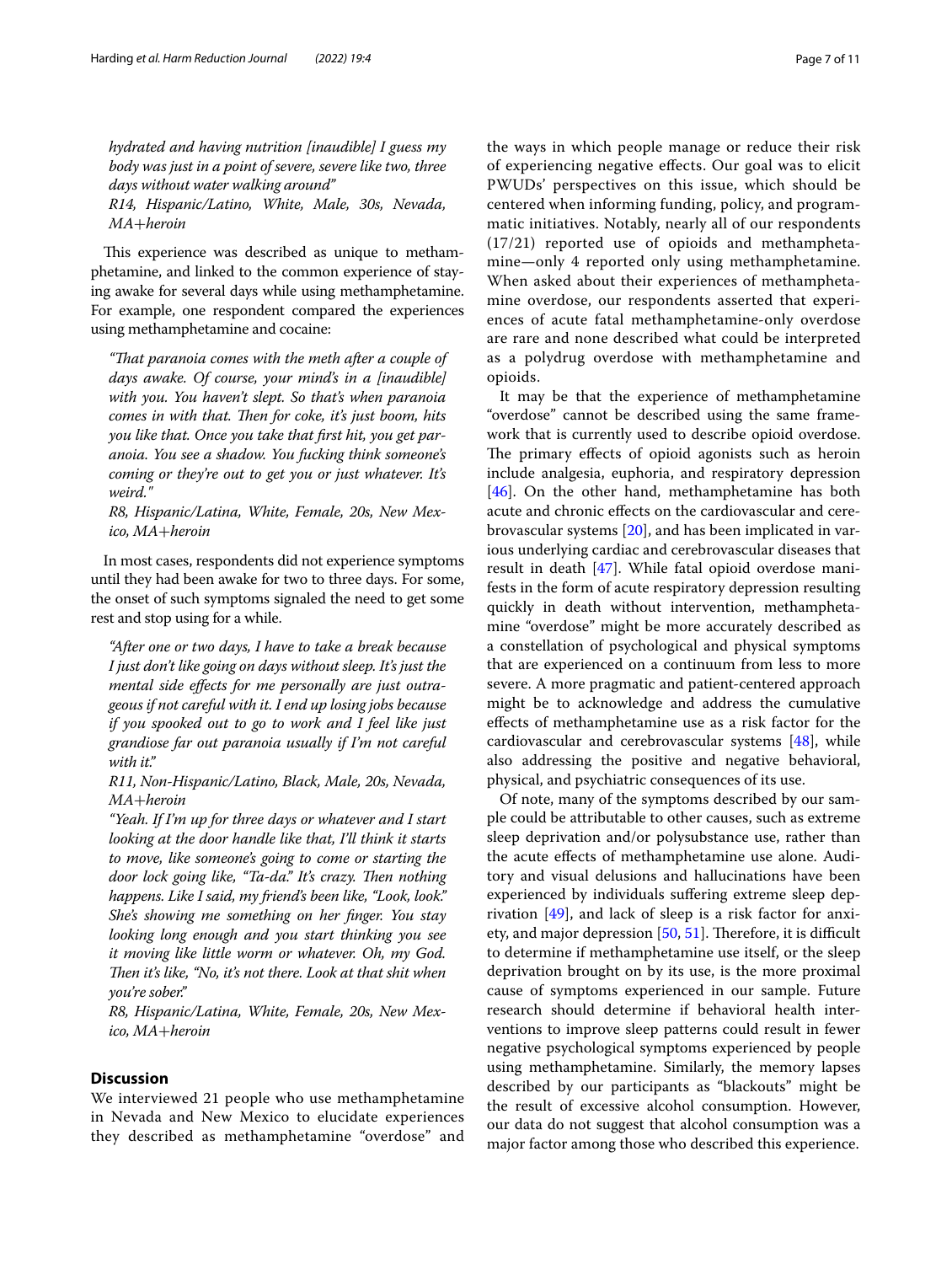*hydrated and having nutrition [inaudible] I guess my body was just in a point of severe, severe like two, three days without water walking around"*

*R14, Hispanic/Latino, White, Male, 30s, Nevada, MA*+*heroin*

This experience was described as unique to methamphetamine, and linked to the common experience of staying awake for several days while using methamphetamine. For example, one respondent compared the experiences using methamphetamine and cocaine:

*"Tat paranoia comes with the meth after a couple of days awake. Of course, your mind's in a [inaudible] with you. You haven't slept. So that's when paranoia comes in with that. Then for coke, it's just boom, hits you like that. Once you take that frst hit, you get paranoia. You see a shadow. You fucking think someone's coming or they're out to get you or just whatever. It's weird."*

*R8, Hispanic/Latina, White, Female, 20s, New Mexico, MA*+*heroin*

In most cases, respondents did not experience symptoms until they had been awake for two to three days. For some, the onset of such symptoms signaled the need to get some rest and stop using for a while.

*"After one or two days, I have to take a break because I just don't like going on days without sleep. It's just the mental side efects for me personally are just outrageous if not careful with it. I end up losing jobs because if you spooked out to go to work and I feel like just grandiose far out paranoia usually if I'm not careful with it."*

*R11, Non-Hispanic/Latino, Black, Male, 20s, Nevada, MA*+*heroin*

*"Yeah. If I'm up for three days or whatever and I start looking at the door handle like that, I'll think it starts to move, like someone's going to come or starting the*  door lock going like, "Ta-da." It's crazy. Then nothing *happens. Like I said, my friend's been like, "Look, look." She's showing me something on her fnger. You stay looking long enough and you start thinking you see it moving like little worm or whatever. Oh, my God. Then it's like, "No, it's not there. Look at that shit when you're sober."*

*R8, Hispanic/Latina, White, Female, 20s, New Mexico, MA*+*heroin*

## **Discussion**

We interviewed 21 people who use methamphetamine in Nevada and New Mexico to elucidate experiences they described as methamphetamine "overdose" and the ways in which people manage or reduce their risk of experiencing negative efects. Our goal was to elicit PWUDs' perspectives on this issue, which should be centered when informing funding, policy, and programmatic initiatives. Notably, nearly all of our respondents (17/21) reported use of opioids and methamphetamine—only 4 reported only using methamphetamine. When asked about their experiences of methamphetamine overdose, our respondents asserted that experiences of acute fatal methamphetamine-only overdose are rare and none described what could be interpreted as a polydrug overdose with methamphetamine and opioids.

It may be that the experience of methamphetamine "overdose" cannot be described using the same framework that is currently used to describe opioid overdose. The primary effects of opioid agonists such as heroin include analgesia, euphoria, and respiratory depression [[46\]](#page-9-17). On the other hand, methamphetamine has both acute and chronic efects on the cardiovascular and cerebrovascular systems [\[20](#page-9-3)], and has been implicated in various underlying cardiac and cerebrovascular diseases that result in death [[47\]](#page-9-18). While fatal opioid overdose manifests in the form of acute respiratory depression resulting quickly in death without intervention, methamphetamine "overdose" might be more accurately described as a constellation of psychological and physical symptoms that are experienced on a continuum from less to more severe. A more pragmatic and patient-centered approach might be to acknowledge and address the cumulative efects of methamphetamine use as a risk factor for the cardiovascular and cerebrovascular systems [[48\]](#page-9-19), while also addressing the positive and negative behavioral, physical, and psychiatric consequences of its use.

Of note, many of the symptoms described by our sample could be attributable to other causes, such as extreme sleep deprivation and/or polysubstance use, rather than the acute efects of methamphetamine use alone. Auditory and visual delusions and hallucinations have been experienced by individuals sufering extreme sleep deprivation [[49](#page-9-20)], and lack of sleep is a risk factor for anxi-ety, and major depression [\[50,](#page-9-21) [51](#page-9-22)]. Therefore, it is difficult to determine if methamphetamine use itself, or the sleep deprivation brought on by its use, is the more proximal cause of symptoms experienced in our sample. Future research should determine if behavioral health interventions to improve sleep patterns could result in fewer negative psychological symptoms experienced by people using methamphetamine. Similarly, the memory lapses described by our participants as "blackouts" might be the result of excessive alcohol consumption. However, our data do not suggest that alcohol consumption was a major factor among those who described this experience.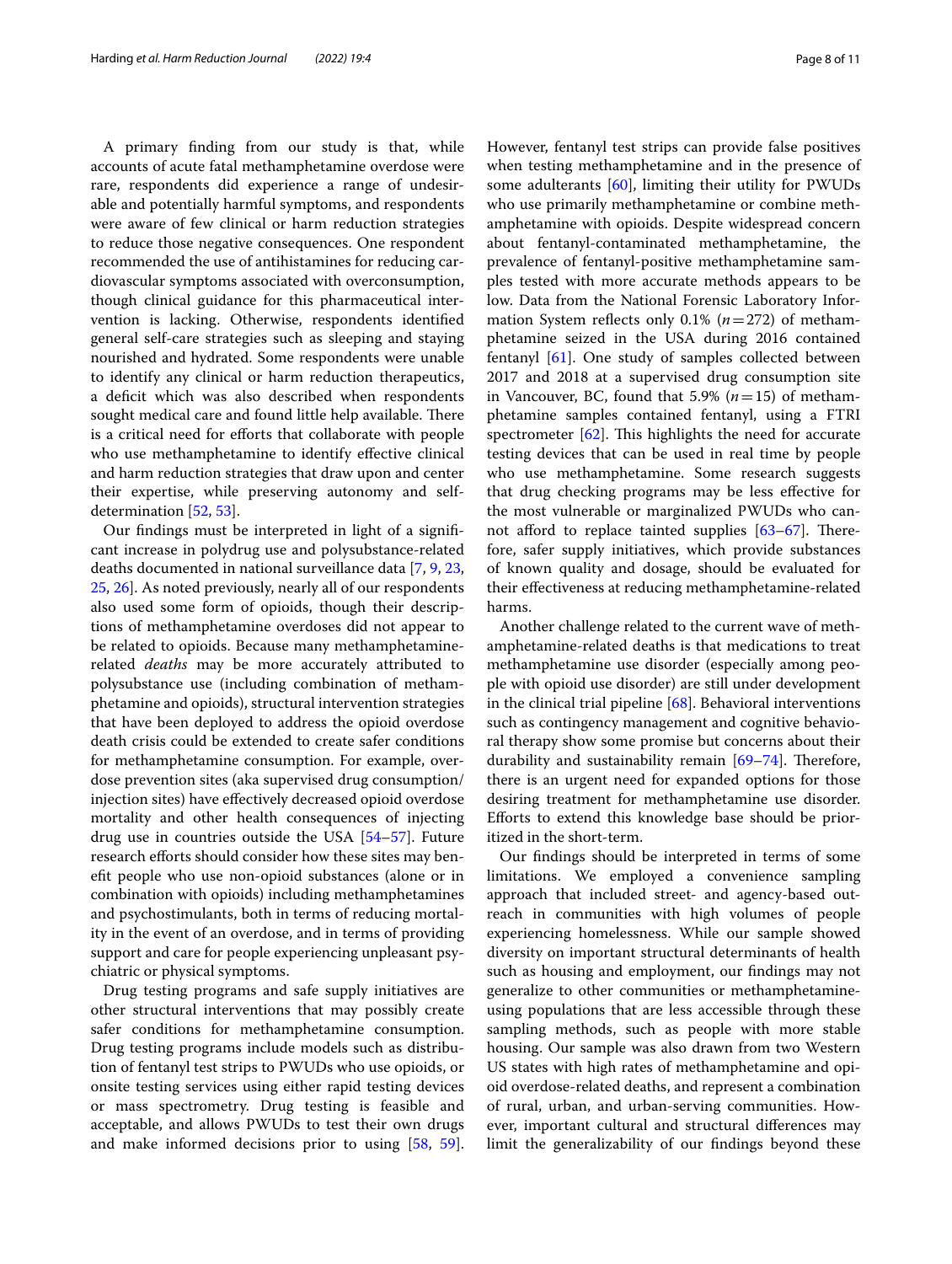A primary fnding from our study is that, while accounts of acute fatal methamphetamine overdose were rare, respondents did experience a range of undesirable and potentially harmful symptoms, and respondents were aware of few clinical or harm reduction strategies to reduce those negative consequences. One respondent recommended the use of antihistamines for reducing cardiovascular symptoms associated with overconsumption, though clinical guidance for this pharmaceutical intervention is lacking. Otherwise, respondents identifed general self-care strategies such as sleeping and staying nourished and hydrated. Some respondents were unable to identify any clinical or harm reduction therapeutics, a defcit which was also described when respondents sought medical care and found little help available. There is a critical need for efforts that collaborate with people who use methamphetamine to identify effective clinical and harm reduction strategies that draw upon and center their expertise, while preserving autonomy and selfdetermination [[52](#page-9-23), [53\]](#page-9-24).

Our fndings must be interpreted in light of a signifcant increase in polydrug use and polysubstance-related deaths documented in national surveillance data [[7](#page-8-6), [9,](#page-8-7) [23](#page-9-6), [25,](#page-9-8) [26\]](#page-9-9). As noted previously, nearly all of our respondents also used some form of opioids, though their descriptions of methamphetamine overdoses did not appear to be related to opioids. Because many methamphetaminerelated *deaths* may be more accurately attributed to polysubstance use (including combination of methamphetamine and opioids), structural intervention strategies that have been deployed to address the opioid overdose death crisis could be extended to create safer conditions for methamphetamine consumption. For example, overdose prevention sites (aka supervised drug consumption/ injection sites) have efectively decreased opioid overdose mortality and other health consequences of injecting drug use in countries outside the USA [[54](#page-9-25)[–57](#page-9-26)]. Future research efforts should consider how these sites may beneft people who use non-opioid substances (alone or in combination with opioids) including methamphetamines and psychostimulants, both in terms of reducing mortality in the event of an overdose, and in terms of providing support and care for people experiencing unpleasant psychiatric or physical symptoms.

Drug testing programs and safe supply initiatives are other structural interventions that may possibly create safer conditions for methamphetamine consumption. Drug testing programs include models such as distribution of fentanyl test strips to PWUDs who use opioids, or onsite testing services using either rapid testing devices or mass spectrometry. Drug testing is feasible and acceptable, and allows PWUDs to test their own drugs and make informed decisions prior to using [\[58](#page-9-27), [59](#page-9-28)].

However, fentanyl test strips can provide false positives when testing methamphetamine and in the presence of some adulterants [\[60\]](#page-10-0), limiting their utility for PWUDs who use primarily methamphetamine or combine methamphetamine with opioids. Despite widespread concern about fentanyl-contaminated methamphetamine, the prevalence of fentanyl-positive methamphetamine samples tested with more accurate methods appears to be low. Data from the National Forensic Laboratory Information System reflects only 0.1%  $(n=272)$  of methamphetamine seized in the USA during 2016 contained fentanyl [\[61](#page-10-1)]. One study of samples collected between 2017 and 2018 at a supervised drug consumption site in Vancouver, BC, found that 5.9%  $(n=15)$  of methamphetamine samples contained fentanyl, using a FTRI spectrometer  $[62]$  $[62]$ . This highlights the need for accurate testing devices that can be used in real time by people who use methamphetamine. Some research suggests that drug checking programs may be less efective for the most vulnerable or marginalized PWUDs who cannot afford to replace tainted supplies  $[63-67]$  $[63-67]$ . Therefore, safer supply initiatives, which provide substances of known quality and dosage, should be evaluated for their efectiveness at reducing methamphetamine-related harms.

Another challenge related to the current wave of methamphetamine-related deaths is that medications to treat methamphetamine use disorder (especially among people with opioid use disorder) are still under development in the clinical trial pipeline  $[68]$  $[68]$ . Behavioral interventions such as contingency management and cognitive behavioral therapy show some promise but concerns about their durability and sustainability remain  $[69-74]$  $[69-74]$  $[69-74]$ . Therefore, there is an urgent need for expanded options for those desiring treatment for methamphetamine use disorder. Eforts to extend this knowledge base should be prioritized in the short-term.

Our fndings should be interpreted in terms of some limitations. We employed a convenience sampling approach that included street- and agency-based outreach in communities with high volumes of people experiencing homelessness. While our sample showed diversity on important structural determinants of health such as housing and employment, our fndings may not generalize to other communities or methamphetamineusing populations that are less accessible through these sampling methods, such as people with more stable housing. Our sample was also drawn from two Western US states with high rates of methamphetamine and opioid overdose-related deaths, and represent a combination of rural, urban, and urban-serving communities. However, important cultural and structural diferences may limit the generalizability of our fndings beyond these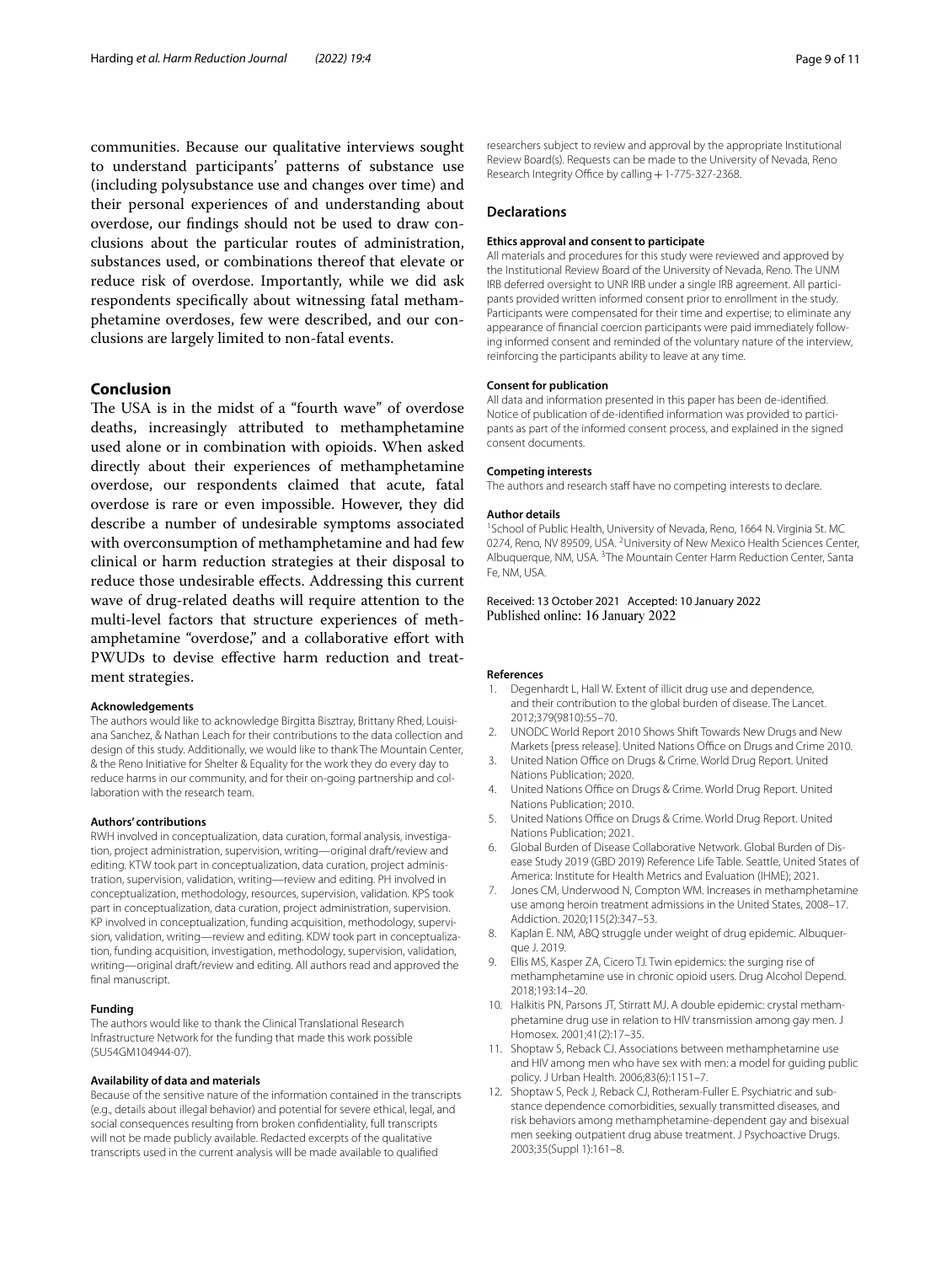communities. Because our qualitative interviews sought to understand participants' patterns of substance use (including polysubstance use and changes over time) and their personal experiences of and understanding about overdose, our fndings should not be used to draw conclusions about the particular routes of administration, substances used, or combinations thereof that elevate or reduce risk of overdose. Importantly, while we did ask respondents specifcally about witnessing fatal methamphetamine overdoses, few were described, and our conclusions are largely limited to non-fatal events.

## **Conclusion**

The USA is in the midst of a "fourth wave" of overdose deaths, increasingly attributed to methamphetamine used alone or in combination with opioids. When asked directly about their experiences of methamphetamine overdose, our respondents claimed that acute, fatal overdose is rare or even impossible. However, they did describe a number of undesirable symptoms associated with overconsumption of methamphetamine and had few clinical or harm reduction strategies at their disposal to reduce those undesirable efects. Addressing this current wave of drug-related deaths will require attention to the multi-level factors that structure experiences of methamphetamine "overdose," and a collaborative effort with PWUDs to devise efective harm reduction and treatment strategies.

#### **Acknowledgements**

The authors would like to acknowledge Birgitta Bisztray, Brittany Rhed, Louisiana Sanchez, & Nathan Leach for their contributions to the data collection and design of this study. Additionally, we would like to thank The Mountain Center, & the Reno Initiative for Shelter & Equality for the work they do every day to reduce harms in our community, and for their on-going partnership and collaboration with the research team.

#### **Authors' contributions**

RWH involved in conceptualization, data curation, formal analysis, investigation, project administration, supervision, writing—original draft/review and editing. KTW took part in conceptualization, data curation, project administration, supervision, validation, writing—review and editing. PH involved in conceptualization, methodology, resources, supervision, validation. KPS took part in conceptualization, data curation, project administration, supervision. KP involved in conceptualization, funding acquisition, methodology, supervision, validation, writing—review and editing. KDW took part in conceptualization, funding acquisition, investigation, methodology, supervision, validation, writing—original draft/review and editing. All authors read and approved the final manuscript.

#### **Funding**

The authors would like to thank the Clinical Translational Research Infrastructure Network for the funding that made this work possible (5U54GM104944-07).

#### **Availability of data and materials**

Because of the sensitive nature of the information contained in the transcripts (e.g., details about illegal behavior) and potential for severe ethical, legal, and social consequences resulting from broken confdentiality, full transcripts will not be made publicly available. Redacted excerpts of the qualitative transcripts used in the current analysis will be made available to qualifed

researchers subject to review and approval by the appropriate Institutional Review Board(s). Requests can be made to the University of Nevada, Reno Research Integrity Office by calling  $+1-775-327-2368$ .

## **Declarations**

#### **Ethics approval and consent to participate**

All materials and procedures for this study were reviewed and approved by the Institutional Review Board of the University of Nevada, Reno. The UNM IRB deferred oversight to UNR IRB under a single IRB agreement. All participants provided written informed consent prior to enrollment in the study. Participants were compensated for their time and expertise; to eliminate any appearance of fnancial coercion participants were paid immediately following informed consent and reminded of the voluntary nature of the interview, reinforcing the participants ability to leave at any time.

## **Consent for publication**

All data and information presented in this paper has been de-identifed. Notice of publication of de-identifed information was provided to participants as part of the informed consent process, and explained in the signed consent documents.

#### **Competing interests**

The authors and research staff have no competing interests to declare.

#### **Author details**

<sup>1</sup> School of Public Health, University of Nevada, Reno, 1664 N. Virginia St. MC 0274, Reno, NV 89509, USA. <sup>2</sup> University of New Mexico Health Sciences Center, Albuquerque, NM, USA.<sup>3</sup> The Mountain Center Harm Reduction Center, Santa Fe, NM, USA.

Received: 13 October 2021 Accepted: 10 January 2022 Published online: 16 January 2022

#### **References**

- <span id="page-8-0"></span>Degenhardt L, Hall W. Extent of illicit drug use and dependence, and their contribution to the global burden of disease. The Lancet. 2012;379(9810):55–70.
- <span id="page-8-2"></span>2. UNODC World Report 2010 Shows Shift Towards New Drugs and New Markets [press release]. United Nations Office on Drugs and Crime 2010.
- <span id="page-8-3"></span>3. United Nation Office on Drugs & Crime. World Drug Report. United Nations Publication; 2020.
- <span id="page-8-4"></span>4. United Nations Office on Drugs & Crime. World Drug Report. United Nations Publication; 2010.
- <span id="page-8-1"></span>5. United Nations Office on Drugs & Crime. World Drug Report. United Nations Publication; 2021.
- <span id="page-8-5"></span>6. Global Burden of Disease Collaborative Network. Global Burden of Disease Study 2019 (GBD 2019) Reference Life Table. Seattle, United States of America: Institute for Health Metrics and Evaluation (IHME); 2021.
- <span id="page-8-6"></span>7. Jones CM, Underwood N, Compton WM. Increases in methamphetamine use among heroin treatment admissions in the United States, 2008–17. Addiction. 2020;115(2):347–53.
- <span id="page-8-9"></span>8. Kaplan E. NM, ABQ struggle under weight of drug epidemic. Albuquerque J. 2019.
- <span id="page-8-7"></span>9. Ellis MS, Kasper ZA, Cicero TJ. Twin epidemics: the surging rise of methamphetamine use in chronic opioid users. Drug Alcohol Depend. 2018;193:14–20.
- <span id="page-8-8"></span>10. Halkitis PN, Parsons JT, Stirratt MJ. A double epidemic: crystal methamphetamine drug use in relation to HIV transmission among gay men. J Homosex. 2001;41(2):17–35.
- 11. Shoptaw S, Reback CJ. Associations between methamphetamine use and HIV among men who have sex with men: a model for guiding public policy. J Urban Health. 2006;83(6):1151–7.
- 12. Shoptaw S, Peck J, Reback CJ, Rotheram-Fuller E. Psychiatric and substance dependence comorbidities, sexually transmitted diseases, and risk behaviors among methamphetamine-dependent gay and bisexual men seeking outpatient drug abuse treatment. J Psychoactive Drugs. 2003;35(Suppl 1):161–8.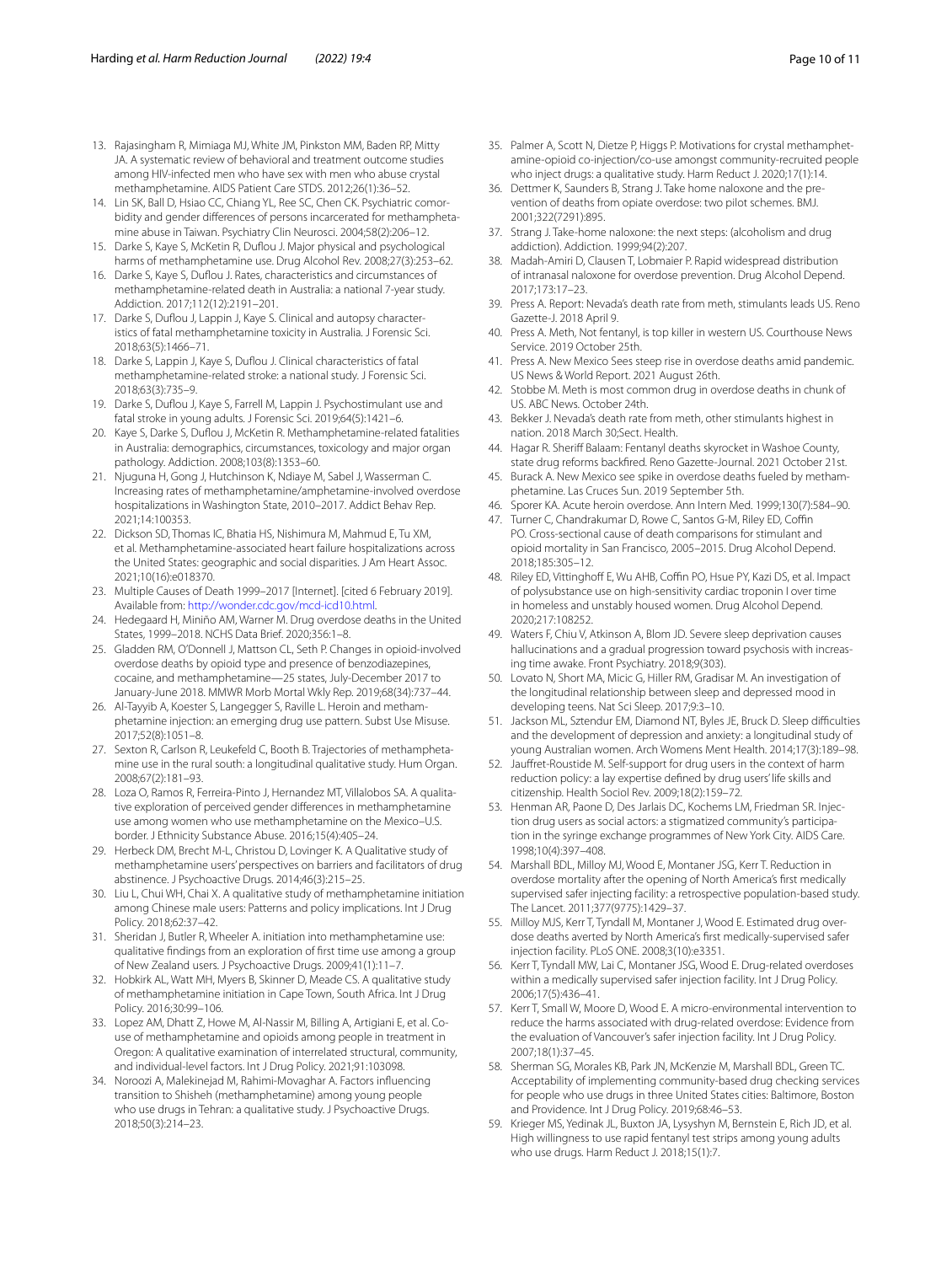- <span id="page-9-0"></span>13. Rajasingham R, Mimiaga MJ, White JM, Pinkston MM, Baden RP, Mitty JA. A systematic review of behavioral and treatment outcome studies among HIV-infected men who have sex with men who abuse crystal methamphetamine. AIDS Patient Care STDS. 2012;26(1):36–52.
- <span id="page-9-1"></span>14. Lin SK, Ball D, Hsiao CC, Chiang YL, Ree SC, Chen CK. Psychiatric comorbidity and gender diferences of persons incarcerated for methamphetamine abuse in Taiwan. Psychiatry Clin Neurosci. 2004;58(2):206–12.
- <span id="page-9-2"></span>15. Darke S, Kaye S, McKetin R, Dufou J. Major physical and psychological harms of methamphetamine use. Drug Alcohol Rev. 2008;27(3):253–62.
- <span id="page-9-10"></span>16. Darke S, Kaye S, Dufou J. Rates, characteristics and circumstances of methamphetamine-related death in Australia: a national 7-year study. Addiction. 2017;112(12):2191–201.
- 17. Darke S, Duflou J, Lappin J, Kaye S. Clinical and autopsy characteristics of fatal methamphetamine toxicity in Australia. J Forensic Sci. 2018;63(5):1466–71.
- 18. Darke S, Lappin J, Kaye S, Duflou J. Clinical characteristics of fatal methamphetamine-related stroke: a national study. J Forensic Sci. 2018;63(3):735–9.
- 19. Darke S, Dufou J, Kaye S, Farrell M, Lappin J. Psychostimulant use and fatal stroke in young adults. J Forensic Sci. 2019;64(5):1421–6.
- <span id="page-9-3"></span>20. Kaye S, Darke S, Dufou J, McKetin R. Methamphetamine-related fatalities in Australia: demographics, circumstances, toxicology and major organ pathology. Addiction. 2008;103(8):1353–60.
- <span id="page-9-4"></span>21. Njuguna H, Gong J, Hutchinson K, Ndiaye M, Sabel J, Wasserman C. Increasing rates of methamphetamine/amphetamine-involved overdose hospitalizations in Washington State, 2010–2017. Addict Behav Rep. 2021;14:100353.
- <span id="page-9-5"></span>22. Dickson SD, Thomas IC, Bhatia HS, Nishimura M, Mahmud E, Tu XM, et al. Methamphetamine-associated heart failure hospitalizations across the United States: geographic and social disparities. J Am Heart Assoc. 2021;10(16):e018370.
- <span id="page-9-6"></span>23. Multiple Causes of Death 1999–2017 [Internet]. [cited 6 February 2019]. Available from: [http://wonder.cdc.gov/mcd-icd10.html.](http://wonder.cdc.gov/mcd-icd10.html)
- <span id="page-9-7"></span>24. Hedegaard H, Miniño AM, Warner M. Drug overdose deaths in the United States, 1999–2018. NCHS Data Brief. 2020;356:1–8.
- <span id="page-9-8"></span>25. Gladden RM, O'Donnell J, Mattson CL, Seth P. Changes in opioid-involved overdose deaths by opioid type and presence of benzodiazepines, cocaine, and methamphetamine—25 states, July-December 2017 to January-June 2018. MMWR Morb Mortal Wkly Rep. 2019;68(34):737–44.
- <span id="page-9-9"></span>26. Al-Tayyib A, Koester S, Langegger S, Raville L. Heroin and methamphetamine injection: an emerging drug use pattern. Subst Use Misuse. 2017;52(8):1051–8.
- <span id="page-9-11"></span>27. Sexton R, Carlson R, Leukefeld C, Booth B. Trajectories of methamphetamine use in the rural south: a longitudinal qualitative study. Hum Organ. 2008;67(2):181–93.
- 28. Loza O, Ramos R, Ferreira-Pinto J, Hernandez MT, Villalobos SA. A qualitative exploration of perceived gender diferences in methamphetamine use among women who use methamphetamine on the Mexico–U.S. border. J Ethnicity Substance Abuse. 2016;15(4):405–24.
- 29. Herbeck DM, Brecht M-L, Christou D, Lovinger K. A Qualitative study of methamphetamine users' perspectives on barriers and facilitators of drug abstinence. J Psychoactive Drugs. 2014;46(3):215–25.
- 30. Liu L, Chui WH, Chai X. A qualitative study of methamphetamine initiation among Chinese male users: Patterns and policy implications. Int J Drug Policy. 2018;62:37–42.
- 31. Sheridan J, Butler R, Wheeler A. initiation into methamphetamine use: qualitative fndings from an exploration of frst time use among a group of New Zealand users. J Psychoactive Drugs. 2009;41(1):11–7.
- 32. Hobkirk AL, Watt MH, Myers B, Skinner D, Meade CS. A qualitative study of methamphetamine initiation in Cape Town, South Africa. Int J Drug Policy. 2016;30:99–106.
- 33. Lopez AM, Dhatt Z, Howe M, Al-Nassir M, Billing A, Artigiani E, et al. Couse of methamphetamine and opioids among people in treatment in Oregon: A qualitative examination of interrelated structural, community, and individual-level factors. Int J Drug Policy. 2021;91:103098.
- 34. Noroozi A, Malekinejad M, Rahimi-Movaghar A. Factors infuencing transition to Shisheh (methamphetamine) among young people who use drugs in Tehran: a qualitative study. J Psychoactive Drugs. 2018;50(3):214–23.
- <span id="page-9-12"></span>35. Palmer A, Scott N, Dietze P, Higgs P. Motivations for crystal methamphetamine-opioid co-injection/co-use amongst community-recruited people who inject drugs: a qualitative study. Harm Reduct J. 2020;17(1):14.
- <span id="page-9-13"></span>36. Dettmer K, Saunders B, Strang J. Take home naloxone and the prevention of deaths from opiate overdose: two pilot schemes. BMJ. 2001;322(7291):895.
- 37. Strang J. Take-home naloxone: the next steps: (alcoholism and drug addiction). Addiction. 1999;94(2):207.
- <span id="page-9-14"></span>38. Madah-Amiri D, Clausen T, Lobmaier P. Rapid widespread distribution of intranasal naloxone for overdose prevention. Drug Alcohol Depend. 2017;173:17–23.
- <span id="page-9-15"></span>39. Press A. Report: Nevada's death rate from meth, stimulants leads US. Reno Gazette-J. 2018 April 9.
- 40. Press A. Meth, Not fentanyl, is top killer in western US. Courthouse News Service. 2019 October 25th.
- 41. Press A. New Mexico Sees steep rise in overdose deaths amid pandemic. US News & World Report. 2021 August 26th.
- 42. Stobbe M. Meth is most common drug in overdose deaths in chunk of US. ABC News. October 24th.
- 43. Bekker J. Nevada's death rate from meth, other stimulants highest in nation. 2018 March 30;Sect. Health.
- 44. Hagar R. Sheriff Balaam: Fentanyl deaths skyrocket in Washoe County, state drug reforms backfred. Reno Gazette-Journal. 2021 October 21st.
- <span id="page-9-16"></span>45. Burack A. New Mexico see spike in overdose deaths fueled by methamphetamine. Las Cruces Sun. 2019 September 5th.
- <span id="page-9-17"></span>46. Sporer KA. Acute heroin overdose. Ann Intern Med. 1999;130(7):584–90.
- <span id="page-9-18"></span>47. Turner C, Chandrakumar D, Rowe C, Santos G-M, Riley ED, Coffin PO. Cross-sectional cause of death comparisons for stimulant and opioid mortality in San Francisco, 2005–2015. Drug Alcohol Depend. 2018;185:305–12.
- <span id="page-9-19"></span>48. Riley ED, Vittinghoff E, Wu AHB, Coffin PO, Hsue PY, Kazi DS, et al. Impact of polysubstance use on high-sensitivity cardiac troponin I over time in homeless and unstably housed women. Drug Alcohol Depend. 2020;217:108252.
- <span id="page-9-20"></span>49. Waters F, Chiu V, Atkinson A, Blom JD. Severe sleep deprivation causes hallucinations and a gradual progression toward psychosis with increasing time awake. Front Psychiatry. 2018;9(303).
- <span id="page-9-21"></span>50. Lovato N, Short MA, Micic G, Hiller RM, Gradisar M. An investigation of the longitudinal relationship between sleep and depressed mood in developing teens. Nat Sci Sleep. 2017;9:3–10.
- <span id="page-9-22"></span>51. Jackson ML, Sztendur EM, Diamond NT, Byles JE, Bruck D. Sleep difficulties and the development of depression and anxiety: a longitudinal study of young Australian women. Arch Womens Ment Health. 2014;17(3):189–98.
- <span id="page-9-23"></span>52. Jaufret-Roustide M. Self-support for drug users in the context of harm reduction policy: a lay expertise defned by drug users' life skills and citizenship. Health Sociol Rev. 2009;18(2):159–72.
- <span id="page-9-24"></span>53. Henman AR, Paone D, Des Jarlais DC, Kochems LM, Friedman SR. Injection drug users as social actors: a stigmatized community's participation in the syringe exchange programmes of New York City. AIDS Care. 1998;10(4):397–408.
- <span id="page-9-25"></span>54. Marshall BDL, Milloy MJ, Wood E, Montaner JSG, Kerr T. Reduction in overdose mortality after the opening of North America's frst medically supervised safer injecting facility: a retrospective population-based study. The Lancet. 2011;377(9775):1429–37.
- 55. Milloy MJS, Kerr T, Tyndall M, Montaner J, Wood E. Estimated drug overdose deaths averted by North America's frst medically-supervised safer injection facility. PLoS ONE. 2008;3(10):e3351.
- 56. Kerr T, Tyndall MW, Lai C, Montaner JSG, Wood E. Drug-related overdoses within a medically supervised safer injection facility. Int J Drug Policy. 2006;17(5):436–41.
- <span id="page-9-26"></span>57. Kerr T, Small W, Moore D, Wood E. A micro-environmental intervention to reduce the harms associated with drug-related overdose: Evidence from the evaluation of Vancouver's safer injection facility. Int J Drug Policy. 2007;18(1):37–45.
- <span id="page-9-27"></span>58. Sherman SG, Morales KB, Park JN, McKenzie M, Marshall BDL, Green TC. Acceptability of implementing community-based drug checking services for people who use drugs in three United States cities: Baltimore, Boston and Providence. Int J Drug Policy. 2019;68:46–53.
- <span id="page-9-28"></span>59. Krieger MS, Yedinak JL, Buxton JA, Lysyshyn M, Bernstein E, Rich JD, et al. High willingness to use rapid fentanyl test strips among young adults who use drugs. Harm Reduct J. 2018;15(1):7.